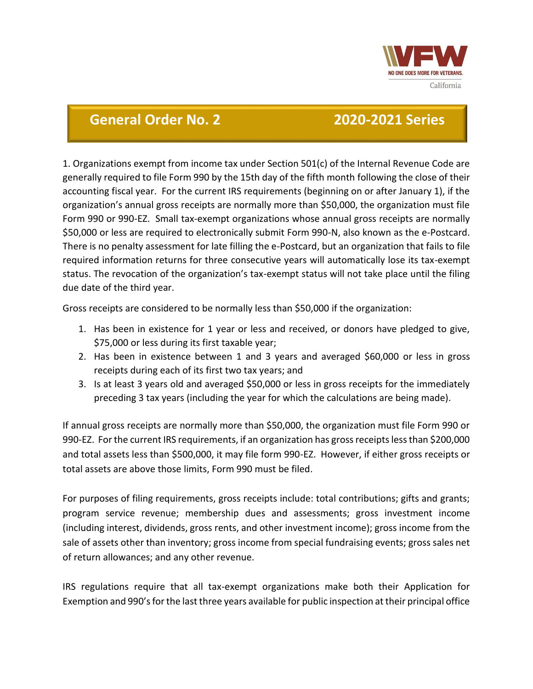

## **General Order No. 2 2020-2021 Series**

1. Organizations exempt from income tax under Section 501(c) of the Internal Revenue Code are generally required to file Form 990 by the 15th day of the fifth month following the close of their accounting fiscal year. For the current IRS requirements (beginning on or after January 1), if the organization's annual gross receipts are normally more than \$50,000, the organization must file Form 990 or 990-EZ. Small tax-exempt organizations whose annual gross receipts are normally \$50,000 or less are required to electronically submit Form 990-N, also known as the e-Postcard. There is no penalty assessment for late filling the e-Postcard, but an organization that fails to file required information returns for three consecutive years will automatically lose its tax-exempt status. The revocation of the organization's tax-exempt status will not take place until the filing due date of the third year.

Gross receipts are considered to be normally less than \$50,000 if the organization:

- 1. Has been in existence for 1 year or less and received, or donors have pledged to give, \$75,000 or less during its first taxable year;
- 2. Has been in existence between 1 and 3 years and averaged \$60,000 or less in gross receipts during each of its first two tax years; and
- 3. Is at least 3 years old and averaged \$50,000 or less in gross receipts for the immediately preceding 3 tax years (including the year for which the calculations are being made).

If annual gross receipts are normally more than \$50,000, the organization must file Form 990 or 990-EZ. For the current IRS requirements, if an organization has gross receipts less than \$200,000 and total assets less than \$500,000, it may file form 990-EZ. However, if either gross receipts or total assets are above those limits, Form 990 must be filed.

For purposes of filing requirements, gross receipts include: total contributions; gifts and grants; program service revenue; membership dues and assessments; gross investment income (including interest, dividends, gross rents, and other investment income); gross income from the sale of assets other than inventory; gross income from special fundraising events; gross sales net of return allowances; and any other revenue.

IRS regulations require that all tax-exempt organizations make both their Application for Exemption and 990's for the last three years available for public inspection at their principal office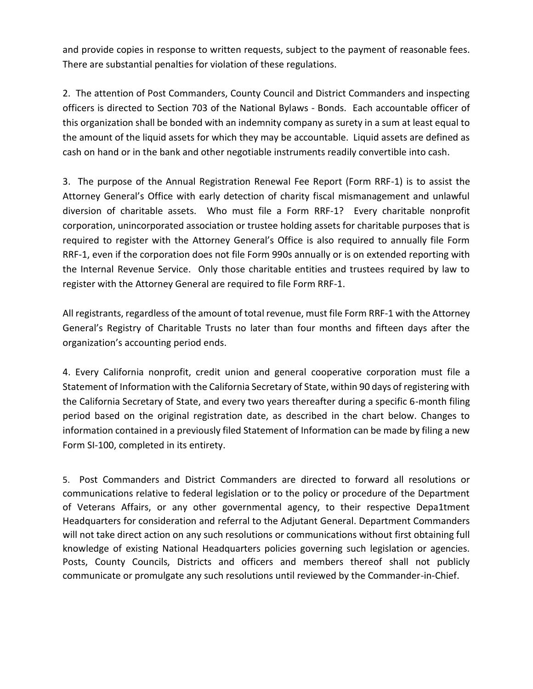and provide copies in response to written requests, subject to the payment of reasonable fees. There are substantial penalties for violation of these regulations.

2. The attention of Post Commanders, County Council and District Commanders and inspecting officers is directed to Section 703 of the National Bylaws - Bonds. Each accountable officer of this organization shall be bonded with an indemnity company as surety in a sum at least equal to the amount of the liquid assets for which they may be accountable. Liquid assets are defined as cash on hand or in the bank and other negotiable instruments readily convertible into cash.

3. The purpose of the Annual Registration Renewal Fee Report (Form RRF-1) is to assist the Attorney General's Office with early detection of charity fiscal mismanagement and unlawful diversion of charitable assets. Who must file a Form RRF-1? Every charitable nonprofit corporation, unincorporated association or trustee holding assets for charitable purposes that is required to register with the Attorney General's Office is also required to annually file Form RRF-1, even if the corporation does not file Form 990s annually or is on extended reporting with the Internal Revenue Service. Only those charitable entities and trustees required by law to register with the Attorney General are required to file Form RRF-1.

All registrants, regardless of the amount of total revenue, must file Form RRF-1 with the Attorney General's Registry of Charitable Trusts no later than four months and fifteen days after the organization's accounting period ends.

4. Every California nonprofit, credit union and general cooperative corporation must file a Statement of Information with the California Secretary of State, within 90 days of registering with the California Secretary of State, and every two years thereafter during a specific 6-month filing period based on the original registration date, as described in the chart below. Changes to information contained in a previously filed Statement of Information can be made by filing a new Form SI-100, completed in its entirety.

5. Post Commanders and District Commanders are directed to forward all resolutions or communications relative to federal legislation or to the policy or procedure of the Department of Veterans Affairs, or any other governmental agency, to their respective Depa1tment Headquarters for consideration and referral to the Adjutant General. Department Commanders will not take direct action on any such resolutions or communications without first obtaining full knowledge of existing National Headquarters policies governing such legislation or agencies. Posts, County Councils, Districts and officers and members thereof shall not publicly communicate or promulgate any such resolutions until reviewed by the Commander-in-Chief.